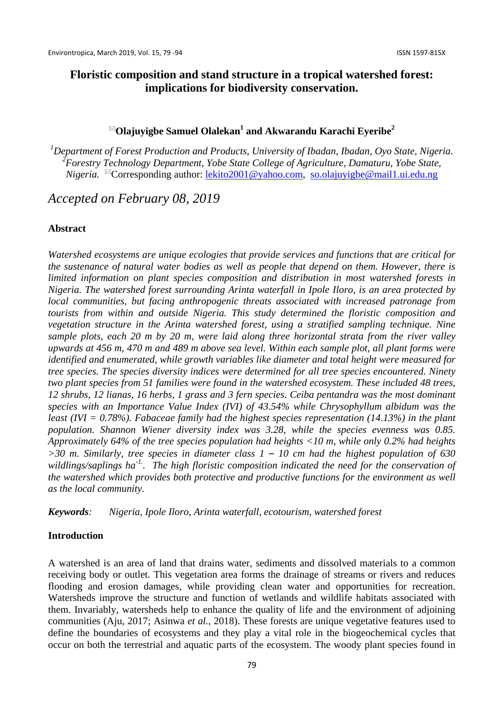# **Olajuyigbe Samuel Olalekan1 and Akwarandu Karachi Eyeribe<sup>2</sup>**

<sup>1</sup>Department of Forest Production and Products, University of Ibadan, Ibadan, Oyo State, Nigeria. <sup>2</sup> Forestry Technology Department, Yobe State College of Agriculture, Damaturu, Yobe State, *Nigeria.* <sup>⊠</sup>Corresponding author: [lekito2001@yahoo.com,](mailto:lekito2001@yahoo.com) [so.olajuyigbe@mail1.ui.edu.ng](mailto:so.olajuyigbe@mail1.ui.edu.ng)

*Accepted on February 08, 2019*

#### **Abstract**

*Watershed ecosystems are unique ecologies that provide services and functions that are critical for the sustenance of natural water bodies as well as people that depend on them. However, there is limited information on plant species composition and distribution in most watershed forests in Nigeria. The watershed forest surrounding Arinta waterfall in Ipole Iloro, is an area protected by local communities, but facing anthropogenic threats associated with increased patronage from tourists from within and outside Nigeria. This study determined the floristic composition and vegetation structure in the Arinta watershed forest, using a stratified sampling technique. Nine sample plots, each 20 m by 20 m, were laid along three horizontal strata from the river valley upwards at 456 m, 470 m and 489 m above sea level. Within each sample plot, all plant forms were identified and enumerated, while growth variables like diameter and total height were measured for tree species. The species diversity indices were determined for all tree species encountered. Ninety two plant species from 51 families were found in the watershed ecosystem. These included 48 trees, 12 shrubs, 12 lianas, 16 herbs, 1 grass and 3 fern species. Ceiba pentandra was the most dominant species with an Importance Value Index (IVI) of 43.54% while Chrysophyllum albidum was the least (IVI = 0.78%). Fabaceae family had the highest species representation (14.13%) in the plant population. Shannon Wiener diversity index was 3.28, while the species evenness was 0.85. Approximately 64% of the tree species population had heights <10 m, while only 0.2% had heights >30 m. Similarly, tree species in diameter class 1 – 10 cm had the highest population of 630 wildlings/saplings ha-1.. The high floristic composition indicated the need for the conservation of the watershed which provides both protective and productive functions for the environment as well as the local community.* 

*Keywords: Nigeria, Ipole Iloro, Arinta waterfall, ecotourism, watershed forest*

#### **Introduction**

A watershed is an area of land that drains water, sediments and dissolved materials to a common receiving body or outlet. This vegetation area forms the drainage of streams or rivers and reduces flooding and erosion damages, while providing clean water and opportunities for recreation. Watersheds improve the structure and function of wetlands and wildlife habitats associated with them. Invariably, watersheds help to enhance the quality of life and the environment of adjoining communities (Aju, 2017; Asinwa *et al.*, 2018). These forests are unique vegetative features used to define the boundaries of ecosystems and they play a vital role in the biogeochemical cycles that occur on both the terrestrial and aquatic parts of the ecosystem. The woody plant species found in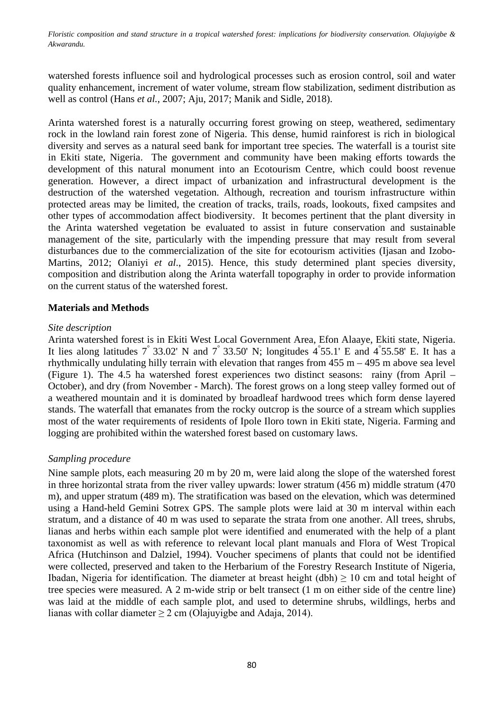watershed forests influence soil and hydrological processes such as erosion control, soil and water quality enhancement, increment of water volume, stream flow stabilization, sediment distribution as well as control (Hans *et al.*, 2007; Aju, 2017; Manik and Sidle, 2018).

Arinta watershed forest is a naturally occurring forest growing on steep, weathered, sedimentary rock in the lowland rain forest zone of Nigeria. This dense, humid rainforest is rich in biological diversity and serves as a natural seed bank for important tree species*.* The waterfall is a tourist site in Ekiti state, Nigeria. The government and community have been making efforts towards the development of this natural monument into an Ecotourism Centre, which could boost revenue generation. However, a direct impact of urbanization and infrastructural development is the destruction of the watershed vegetation. Although, recreation and tourism infrastructure within protected areas may be limited, the creation of tracks, trails, roads, lookouts, fixed campsites and other types of accommodation affect biodiversity. It becomes pertinent that the plant diversity in the Arinta watershed vegetation be evaluated to assist in future conservation and sustainable management of the site, particularly with the impending pressure that may result from several disturbances due to the commercialization of the site for ecotourism activities (Ijasan and Izobo-Martins, 2012; Olaniyi *et al*., 2015). Hence, this study determined plant species diversity, composition and distribution along the Arinta waterfall topography in order to provide information on the current status of the watershed forest.

# **Materials and Methods**

### *Site description*

Arinta watershed forest is in Ekiti West Local Government Area, Efon Alaaye, Ekiti state, Nigeria. It lies along latitudes  $7^\circ$  33.02' N and  $7^\circ$  33.50' N; longitudes  $4^\circ$ 55.1' E and  $4^\circ$ 55.58' E. It has a rhythmically undulating hilly terrain with elevation that ranges from  $455$  m  $-495$  m above sea level (Figure 1). The 4.5 ha watershed forest experiences two distinct seasons: rainy (from April – October), and dry (from November - March). The forest grows on a long steep valley formed out of a weathered mountain and it is dominated by broadleaf hardwood trees which form dense layered stands. The waterfall that emanates from the rocky outcrop is the source of a stream which supplies most of the water requirements of residents of Ipole Iloro town in Ekiti state, Nigeria. Farming and logging are prohibited within the watershed forest based on customary laws.

# *Sampling procedure*

Nine sample plots, each measuring 20 m by 20 m, were laid along the slope of the watershed forest in three horizontal strata from the river valley upwards: lower stratum (456 m) middle stratum (470 m), and upper stratum (489 m). The stratification was based on the elevation, which was determined using a Hand-held Gemini Sotrex GPS. The sample plots were laid at 30 m interval within each stratum, and a distance of 40 m was used to separate the strata from one another. All trees, shrubs, lianas and herbs within each sample plot were identified and enumerated with the help of a plant taxonomist as well as with reference to relevant local plant manuals and Flora of West Tropical Africa (Hutchinson and Dalziel, 1994). Voucher specimens of plants that could not be identified were collected, preserved and taken to the Herbarium of the Forestry Research Institute of Nigeria, Ibadan, Nigeria for identification. The diameter at breast height (dbh)  $\geq 10$  cm and total height of tree species were measured. A 2 m-wide strip or belt transect (1 m on either side of the centre line) was laid at the middle of each sample plot, and used to determine shrubs, wildlings, herbs and lianas with collar diameter  $\geq 2$  cm (Olajuyigbe and Adaja, 2014).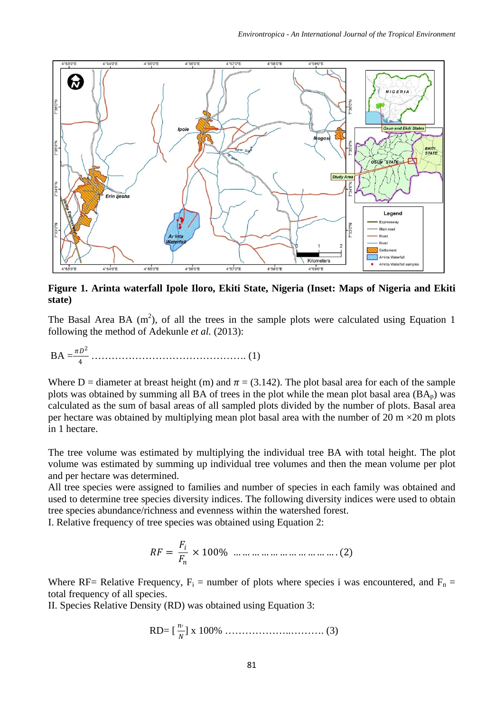

**Figure 1. Arinta waterfall Ipole Iloro, Ekiti State, Nigeria (Inset: Maps of Nigeria and Ekiti state)**

The Basal Area BA  $(m^2)$ , of all the trees in the sample plots were calculated using Equation 1 following the method of Adekunle *et al.* (2013):

BA = <sup>2</sup> <sup>4</sup> ………………………………………. (1)

Where D = diameter at breast height (m) and  $\pi$  = (3.142). The plot basal area for each of the sample plots was obtained by summing all BA of trees in the plot while the mean plot basal area  $(BA_n)$  was calculated as the sum of basal areas of all sampled plots divided by the number of plots. Basal area per hectare was obtained by multiplying mean plot basal area with the number of 20 m  $\times$ 20 m plots in 1 hectare.

The tree volume was estimated by multiplying the individual tree BA with total height. The plot volume was estimated by summing up individual tree volumes and then the mean volume per plot and per hectare was determined.

All tree species were assigned to families and number of species in each family was obtained and used to determine tree species diversity indices. The following diversity indices were used to obtain tree species abundance/richness and evenness within the watershed forest.

I. Relative frequency of tree species was obtained using Equation 2:

$$
RF = \frac{F_i}{F_n} \times 100\% \dots \dots \dots \dots \dots \dots \dots \dots \dots \dots (2)
$$

Where RF= Relative Frequency,  $F_i$  = number of plots where species i was encountered, and  $F_n$  = total frequency of all species.

II. Species Relative Density (RD) was obtained using Equation 3:

RD=
$$
\left[\frac{n'}{N}\right]
$$
 x 100%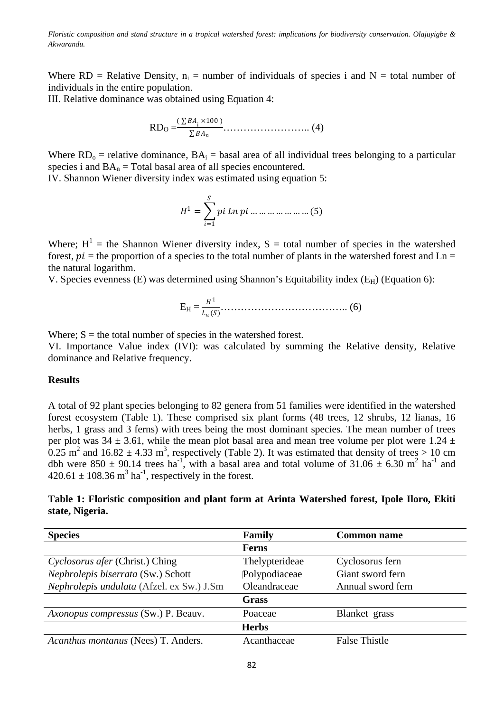Where RD = Relative Density,  $n_i$  = number of individuals of species i and N = total number of individuals in the entire population.

III. Relative dominance was obtained using Equation 4:

$$
RD_{\rm O} = \frac{(\sum BA_{i} \times 100)}{\sum BA_{n}} \dots \dots \dots \dots \dots \dots \dots \dots \dots \tag{4}
$$

Where  $RD_0$  = relative dominance,  $BA_i$  = basal area of all individual trees belonging to a particular species i and  $BA_n = Total$  basal area of all species encountered.

IV. Shannon Wiener diversity index was estimated using equation 5:

$$
H^{1} = \sum_{i=1}^{S} pi \, Ln \, pi \, \dots \, \dots \, \dots \, \dots \, \dots \, \dots \, (5)
$$

Where;  $H^1$  = the Shannon Wiener diversity index, S = total number of species in the watershed forest,  $pi =$  the proportion of a species to the total number of plants in the watershed forest and Ln = the natural logarithm.

V. Species evenness (E) was determined using Shannon's Equitability index  $(E_H)$  (Equation 6):

$$
E_{H} = \frac{H^{1}}{L_{n}(S)}
$$
 (6)

Where;  $S =$  the total number of species in the watershed forest.

VI. Importance Value index (IVI): was calculated by summing the Relative density, Relative dominance and Relative frequency.

#### **Results**

A total of 92 plant species belonging to 82 genera from 51 families were identified in the watershed forest ecosystem (Table 1). These comprised six plant forms (48 trees, 12 shrubs, 12 lianas, 16 herbs, 1 grass and 3 ferns) with trees being the most dominant species. The mean number of trees per plot was  $34 \pm 3.61$ , while the mean plot basal area and mean tree volume per plot were 1.24  $\pm$  $0.25$  m<sup>2</sup> and  $16.82 \pm 4.33$  m<sup>3</sup>, respectively (Table 2). It was estimated that density of trees > 10 cm dbh were 850  $\pm$  90.14 trees ha<sup>-1</sup>, with a basal area and total volume of 31.06  $\pm$  6.30 m<sup>2</sup> ha<sup>-1</sup> and  $420.61 \pm 108.36$  m<sup>3</sup> ha<sup>-1</sup>, respectively in the forest.

# **Table 1: Floristic composition and plant form at Arinta Watershed forest, Ipole Iloro, Ekiti state, Nigeria.**

| <b>Species</b>                             | Family         | <b>Common name</b>   |
|--------------------------------------------|----------------|----------------------|
|                                            | <b>Ferns</b>   |                      |
| Cyclosorus afer (Christ.) Ching            | Thelypterideae | Cyclosorus fern      |
| Nephrolepis biserrata (Sw.) Schott         | Polypodiaceae  | Giant sword fern     |
| Nephrolepis undulata (Afzel. ex Sw.) J.Sm  | Oleandraceae   | Annual sword fern    |
|                                            | Grass          |                      |
| <i>Axonopus compressus</i> (Sw.) P. Beauv. | Poaceae        | Blanket grass        |
|                                            | <b>Herbs</b>   |                      |
| Acanthus montanus (Nees) T. Anders.        | Acanthaceae    | <b>False Thistle</b> |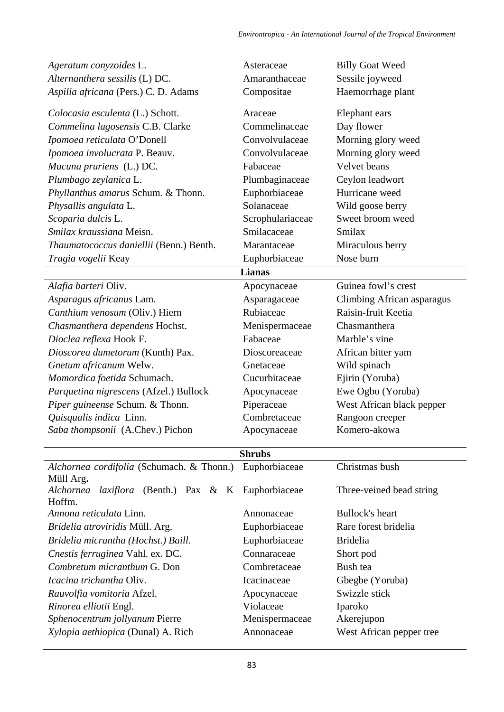| Ageratum conyzoides L.                                                  | Asteraceae                   | <b>Billy Goat Weed</b>     |  |  |
|-------------------------------------------------------------------------|------------------------------|----------------------------|--|--|
| Alternanthera sessilis (L) DC.                                          | Amaranthaceae                | Sessile joyweed            |  |  |
| Aspilia africana (Pers.) C. D. Adams                                    | Compositae                   | Haemorrhage plant          |  |  |
| Colocasia esculenta (L.) Schott.                                        | Araceae                      | Elephant ears              |  |  |
| Commelina lagosensis C.B. Clarke                                        | Commelinaceae                | Day flower                 |  |  |
| Ipomoea reticulata O'Donell                                             | Convolvulaceae               | Morning glory weed         |  |  |
| Ipomoea involucrata P. Beauv.                                           | Convolvulaceae               | Morning glory weed         |  |  |
| Mucuna pruriens (L.) DC.                                                | Fabaceae                     | Velvet beans               |  |  |
| Plumbago zeylanica L.                                                   | Plumbaginaceae               | Ceylon leadwort            |  |  |
| Phyllanthus amarus Schum. & Thonn.                                      | Euphorbiaceae                | Hurricane weed             |  |  |
| Physallis angulata L.                                                   | Solanaceae                   | Wild goose berry           |  |  |
| Scoparia dulcis L.                                                      | Scrophulariaceae             | Sweet broom weed           |  |  |
| Smilax kraussiana Meisn.                                                | Smilacaceae                  | Smilax                     |  |  |
| Thaumatococcus daniellii (Benn.) Benth.                                 | Marantaceae                  | Miraculous berry           |  |  |
| Tragia vogelii Keay                                                     | Euphorbiaceae                | Nose burn                  |  |  |
|                                                                         | <b>Lianas</b>                |                            |  |  |
| Alafia barteri Oliv.                                                    | Apocynaceae                  | Guinea fowl's crest        |  |  |
| Asparagus africanus Lam.                                                | Asparagaceae                 | Climbing African asparagus |  |  |
| Canthium venosum (Oliv.) Hiern                                          | Rubiaceae                    | Raisin-fruit Keetia        |  |  |
| Chasmanthera dependens Hochst.                                          | Menispermaceae               | Chasmanthera               |  |  |
| Dioclea reflexa Hook F.                                                 | Fabaceae                     | Marble's vine              |  |  |
| Dioscorea dumetorum (Kunth) Pax.                                        | Dioscoreaceae                | African bitter yam         |  |  |
| Gnetum africanum Welw.                                                  | Gnetaceae                    | Wild spinach               |  |  |
| Momordica foetida Schumach.                                             | Cucurbitaceae                | Ejirin (Yoruba)            |  |  |
| Parquetina nigrescens (Afzel.) Bullock                                  | Apocynaceae                  | Ewe Ogbo (Yoruba)          |  |  |
| Piper guineense Schum. & Thonn.                                         | Piperaceae                   | West African black pepper  |  |  |
| Quisqualis indica Linn.                                                 | Combretaceae                 | Rangoon creeper            |  |  |
| Saba thompsonii (A.Chev.) Pichon                                        | Apocynaceae                  | Komero-akowa               |  |  |
|                                                                         | <b>Shrubs</b>                |                            |  |  |
| Alchornea cordifolia (Schumach. & Thonn.)                               | Euphorbiaceae                | Christmas bush             |  |  |
| Müll Arg.                                                               |                              |                            |  |  |
| laxiflora<br>(Benth.) Pax $\& K$<br>Alchornea<br>Hoffm.                 | Euphorbiaceae                | Three-veined bead string   |  |  |
| Annona reticulata Linn.                                                 | Annonaceae                   | <b>Bullock's heart</b>     |  |  |
| Bridelia atroviridis Müll. Arg.                                         |                              | Rare forest bridelia       |  |  |
|                                                                         | Euphorbiaceae                | <b>Bridelia</b>            |  |  |
| Bridelia micrantha (Hochst.) Baill.<br>Cnestis ferruginea Vahl. ex. DC. | Euphorbiaceae<br>Connaraceae | Short pod                  |  |  |
| Combretum micranthum G. Don                                             | Combretaceae                 | Bush tea                   |  |  |
| Icacina trichantha Oliv.                                                | Icacinaceae                  | Gbegbe (Yoruba)            |  |  |
|                                                                         |                              | Swizzle stick              |  |  |
| Rauvolfia vomitoria Afzel.                                              | Apocynaceae<br>Violaceae     |                            |  |  |
| Rinorea elliotii Engl.<br>Sphenocentrum jollyanum Pierre                | Menispermaceae               | Iparoko<br>Akerejupon      |  |  |
|                                                                         |                              |                            |  |  |
| Xylopia aethiopica (Dunal) A. Rich                                      | Annonaceae                   | West African pepper tree   |  |  |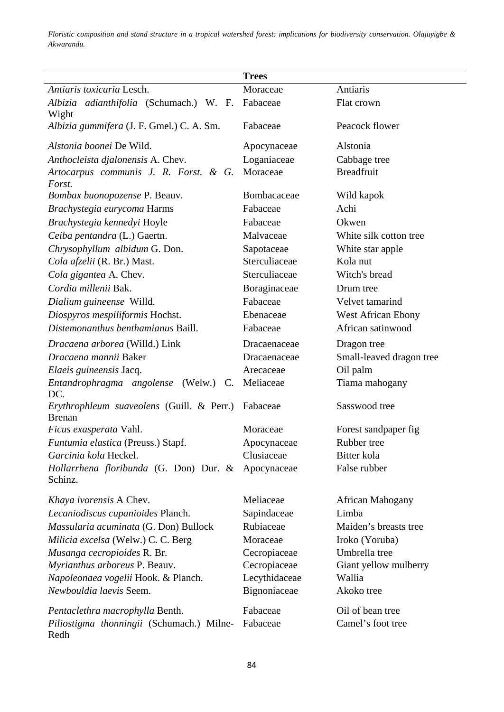|                                                            | <b>Trees</b>  |                           |
|------------------------------------------------------------|---------------|---------------------------|
| Antiaris toxicaria Lesch.                                  | Moraceae      | Antiaris                  |
| Albizia adianthifolia (Schumach.) W. F.<br>Wight           | Fabaceae      | Flat crown                |
| Albizia gummifera (J. F. Gmel.) C. A. Sm.                  | Fabaceae      | Peacock flower            |
| Alstonia boonei De Wild.                                   | Apocynaceae   | Alstonia                  |
| Anthocleista djalonensis A. Chev.                          | Loganiaceae   | Cabbage tree              |
| Artocarpus communis J. R. Forst. & G.<br>Forst.            | Moraceae      | <b>Breadfruit</b>         |
| Bombax buonopozense P. Beauv.                              | Bombacaceae   | Wild kapok                |
| Brachystegia eurycoma Harms                                | Fabaceae      | Achi                      |
| Brachystegia kennedyi Hoyle                                | Fabaceae      | Okwen                     |
| Ceiba pentandra (L.) Gaertn.                               | Malvaceae     | White silk cotton tree    |
| Chrysophyllum albidum G. Don.                              | Sapotaceae    | White star apple          |
| Cola afzelii (R. Br.) Mast.                                | Sterculiaceae | Kola nut                  |
| Cola gigantea A. Chev.                                     | Sterculiaceae | Witch's bread             |
| Cordia millenii Bak.                                       | Boraginaceae  | Drum tree                 |
| Dialium guineense Willd.                                   | Fabaceae      | Velvet tamarind           |
| Diospyros mespiliformis Hochst.                            | Ebenaceae     | <b>West African Ebony</b> |
| Distemonanthus benthamianus Baill.                         | Fabaceae      | African satinwood         |
| Dracaena arborea (Willd.) Link                             | Dracaenaceae  | Dragon tree               |
| Dracaena mannii Baker                                      | Dracaenaceae  | Small-leaved dragon tree  |
| Elaeis guineensis Jacq.                                    | Arecaceae     | Oil palm                  |
| Entandrophragma angolense (Welw.) C.<br>DC.                | Meliaceae     | Tiama mahogany            |
| Erythrophleum suaveolens (Guill. & Perr.)<br><b>Brenan</b> | Fabaceae      | Sasswood tree             |
| <i>Ficus exasperata</i> Vahl.                              | Moraceae      | Forest sandpaper fig      |
| Funtumia elastica (Preuss.) Stapf.                         | Apocynaceae   | Rubber tree               |
| Garcinia kola Heckel.                                      | Clusiaceae    | Bitter kola               |
| Hollarrhena floribunda (G. Don) Dur. &<br>Schinz.          | Apocynaceae   | False rubber              |
| Khaya ivorensis A Chev.                                    | Meliaceae     | African Mahogany          |
| Lecaniodiscus cupanioides Planch.                          | Sapindaceae   | Limba                     |
| Massularia acuminata (G. Don) Bullock                      | Rubiaceae     | Maiden's breasts tree     |
| Milicia excelsa (Welw.) C. C. Berg                         | Moraceae      | Iroko (Yoruba)            |
| Musanga cecropioides R. Br.                                | Cecropiaceae  | Umbrella tree             |
| Myrianthus arboreus P. Beauv.                              | Cecropiaceae  | Giant yellow mulberry     |
| Napoleonaea vogelii Hook. & Planch.                        | Lecythidaceae | Wallia                    |
| Newbouldia laevis Seem.                                    | Bignoniaceae  | Akoko tree                |
| Pentaclethra macrophylla Benth.                            | Fabaceae      | Oil of bean tree          |
| Piliostigma thonningii (Schumach.) Milne-<br>Redh          | Fabaceae      | Camel's foot tree         |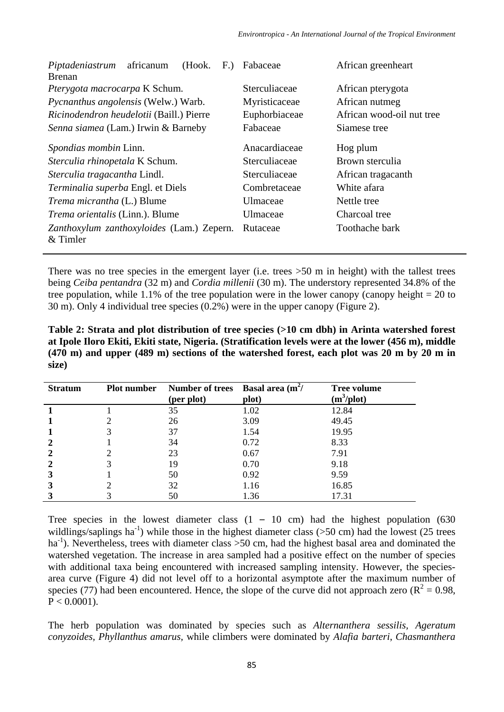| africanum<br>(Hook.<br>Piptadeniastrum<br>$F$ .)<br><b>Brenan</b> | Fabaceae                            | African greenheart        |  |  |
|-------------------------------------------------------------------|-------------------------------------|---------------------------|--|--|
| Pterygota macrocarpa K Schum.                                     | Sterculiaceae                       | African pterygota         |  |  |
| Pycnanthus angolensis (Welw.) Warb.                               | Myristicaceae<br>African nutmeg     |                           |  |  |
| Ricinodendron heudelotii (Baill.) Pierre                          | Euphorbiaceae                       | African wood-oil nut tree |  |  |
| Senna siamea (Lam.) Irwin & Barneby                               | Fabaceae                            | Siamese tree              |  |  |
| Spondias mombin Linn.                                             | Anacardiaceae                       | Hog plum                  |  |  |
| Sterculia rhinopetala K Schum.                                    | Sterculiaceae                       | Brown sterculia           |  |  |
| Sterculia tragacantha Lindl.                                      | Sterculiaceae<br>African tragacanth |                           |  |  |
| Terminalia superba Engl. et Diels                                 | Combretaceae                        | White afara               |  |  |
| <i>Trema micrantha</i> (L.) Blume                                 | Ulmaceae                            | Nettle tree               |  |  |
| Trema orientalis (Linn.). Blume                                   | Ulmaceae<br>Charcoal tree           |                           |  |  |
| Zanthoxylum zanthoxyloides (Lam.) Zepern.<br>& Timler             | Rutaceae                            | Toothache bark            |  |  |

There was no tree species in the emergent layer (i.e. trees  $>50$  m in height) with the tallest trees being *Ceiba pentandra* (32 m) and *Cordia millenii* (30 m). The understory represented 34.8% of the tree population, while 1.1% of the tree population were in the lower canopy (canopy height  $= 20$  to 30 m). Only 4 individual tree species (0.2%) were in the upper canopy (Figure 2).

**Table 2: Strata and plot distribution of tree species (>10 cm dbh) in Arinta watershed forest at Ipole Iloro Ekiti, Ekiti state, Nigeria. (Stratification levels were at the lower (456 m), middle (470 m) and upper (489 m) sections of the watershed forest, each plot was 20 m by 20 m in size)**

| <b>Stratum</b> | <b>Plot number</b> | Number of trees Basal area $(m^2)$ |       | <b>Tree volume</b> |
|----------------|--------------------|------------------------------------|-------|--------------------|
|                |                    | (per plot)                         | plot) | $(m^3/plot)$       |
|                |                    | 35                                 | 1.02  | 12.84              |
|                |                    | 26                                 | 3.09  | 49.45              |
|                | 3                  | 37                                 | 1.54  | 19.95              |
| $\mathbf{2}$   |                    | 34                                 | 0.72  | 8.33               |
| $\mathbf{2}$   |                    | 23                                 | 0.67  | 7.91               |
| $\mathbf{2}$   |                    | 19                                 | 0.70  | 9.18               |
| 3              |                    | 50                                 | 0.92  | 9.59               |
| 3              |                    | 32                                 | 1.16  | 16.85              |
|                |                    | 50                                 | 1.36  | 17.31              |

Tree species in the lowest diameter class  $(1 - 10 \text{ cm})$  had the highest population  $(630 \text{ cm})$ wildlings/saplings ha<sup>-1</sup>) while those in the highest diameter class ( $>$ 50 cm) had the lowest (25 trees ha<sup>-1</sup>). Nevertheless, trees with diameter class  $>50$  cm, had the highest basal area and dominated the watershed vegetation. The increase in area sampled had a positive effect on the number of species with additional taxa being encountered with increased sampling intensity. However, the speciesarea curve (Figure 4) did not level off to a horizontal asymptote after the maximum number of species (77) had been encountered. Hence, the slope of the curve did not approach zero ( $R^2 = 0.98$ ,  $P < 0.0001$ ).

The herb population was dominated by species such as *Alternanthera sessilis, Ageratum conyzoides, Phyllanthus amarus,* while climbers were dominated by *Alafia barteri*, *Chasmanthera*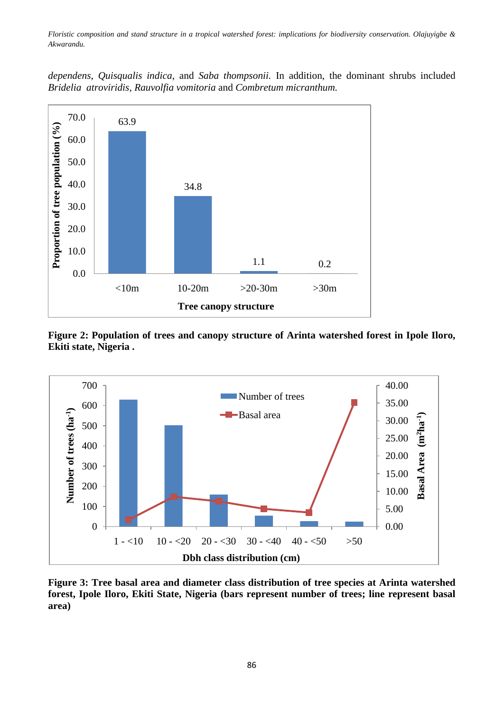*dependens*, *Quisqualis indica*, and *Saba thompsonii.* In addition, the dominant shrubs included *Bridelia atroviridis, Rauvolfia vomitoria* and *Combretum micranthum.*



**Figure 2: Population of trees and canopy structure of Arinta watershed forest in Ipole Iloro, Ekiti state, Nigeria .**



**Figure 3: Tree basal area and diameter class distribution of tree species at Arinta watershed forest, Ipole Iloro, Ekiti State, Nigeria (bars represent number of trees; line represent basal area)**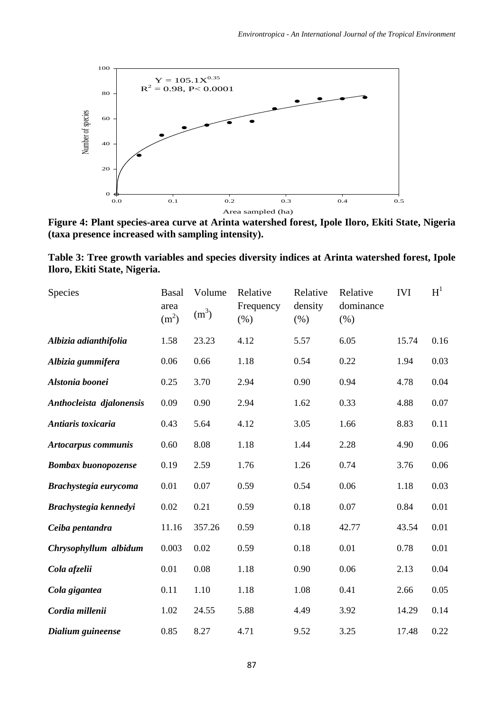

**Figure 4: Plant species-area curve at Arinta watershed forest, Ipole Iloro, Ekiti State, Nigeria (taxa presence increased with sampling intensity).**

**Table 3: Tree growth variables and species diversity indices at Arinta watershed forest, Ipole Iloro, Ekiti State, Nigeria.**

| Species                    | <b>Basal</b><br>area<br>(m <sup>2</sup> ) | Volume<br>(m <sup>3</sup> ) | Relative<br>Frequency<br>(% ) | Relative<br>density<br>(% ) | Relative<br>dominance<br>(% ) | <b>IVI</b> | $H^1$ |
|----------------------------|-------------------------------------------|-----------------------------|-------------------------------|-----------------------------|-------------------------------|------------|-------|
| Albizia adianthifolia      | 1.58                                      | 23.23                       | 4.12                          | 5.57                        | 6.05                          | 15.74      | 0.16  |
| Albizia gummifera          | 0.06                                      | 0.66                        | 1.18                          | 0.54                        | 0.22                          | 1.94       | 0.03  |
| Alstonia boonei            | 0.25                                      | 3.70                        | 2.94                          | 0.90                        | 0.94                          | 4.78       | 0.04  |
| Anthocleista djalonensis   | 0.09                                      | 0.90                        | 2.94                          | 1.62                        | 0.33                          | 4.88       | 0.07  |
| Antiaris toxicaria         | 0.43                                      | 5.64                        | 4.12                          | 3.05                        | 1.66                          | 8.83       | 0.11  |
| Artocarpus communis        | 0.60                                      | 8.08                        | 1.18                          | 1.44                        | 2.28                          | 4.90       | 0.06  |
| <b>Bombax</b> buonopozense | 0.19                                      | 2.59                        | 1.76                          | 1.26                        | 0.74                          | 3.76       | 0.06  |
| Brachystegia eurycoma      | 0.01                                      | 0.07                        | 0.59                          | 0.54                        | 0.06                          | 1.18       | 0.03  |
| Brachystegia kennedyi      | 0.02                                      | 0.21                        | 0.59                          | 0.18                        | 0.07                          | 0.84       | 0.01  |
| Ceiba pentandra            | 11.16                                     | 357.26                      | 0.59                          | 0.18                        | 42.77                         | 43.54      | 0.01  |
| Chrysophyllum albidum      | 0.003                                     | 0.02                        | 0.59                          | 0.18                        | 0.01                          | 0.78       | 0.01  |
| Cola afzelii               | 0.01                                      | 0.08                        | 1.18                          | 0.90                        | 0.06                          | 2.13       | 0.04  |
| Cola gigantea              | 0.11                                      | 1.10                        | 1.18                          | 1.08                        | 0.41                          | 2.66       | 0.05  |
| Cordia millenii            | 1.02                                      | 24.55                       | 5.88                          | 4.49                        | 3.92                          | 14.29      | 0.14  |
| Dialium guineense          | 0.85                                      | 8.27                        | 4.71                          | 9.52                        | 3.25                          | 17.48      | 0.22  |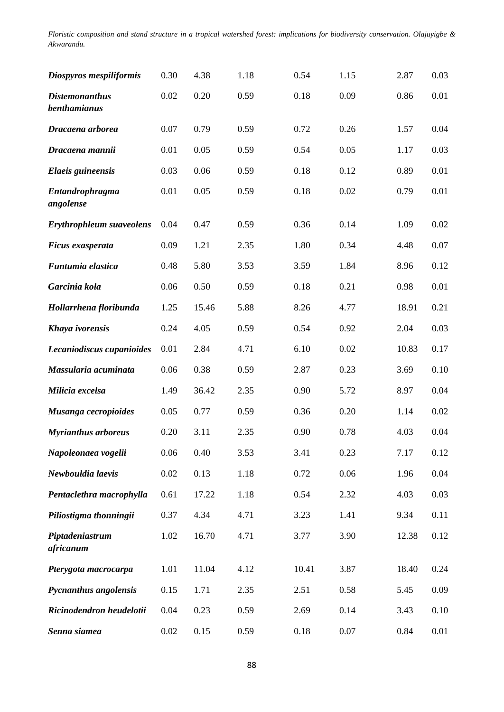| Diospyros mespiliformis                      | 0.30 | 4.38  | 1.18 | 0.54  | 1.15 | 2.87  | 0.03 |
|----------------------------------------------|------|-------|------|-------|------|-------|------|
| <b>Distemonanthus</b><br><b>benthamianus</b> | 0.02 | 0.20  | 0.59 | 0.18  | 0.09 | 0.86  | 0.01 |
| Dracaena arborea                             | 0.07 | 0.79  | 0.59 | 0.72  | 0.26 | 1.57  | 0.04 |
| Dracaena mannii                              | 0.01 | 0.05  | 0.59 | 0.54  | 0.05 | 1.17  | 0.03 |
| Elaeis guineensis                            | 0.03 | 0.06  | 0.59 | 0.18  | 0.12 | 0.89  | 0.01 |
| Entandrophragma<br>angolense                 | 0.01 | 0.05  | 0.59 | 0.18  | 0.02 | 0.79  | 0.01 |
| <b>Erythrophleum suaveolens</b>              | 0.04 | 0.47  | 0.59 | 0.36  | 0.14 | 1.09  | 0.02 |
| Ficus exasperata                             | 0.09 | 1.21  | 2.35 | 1.80  | 0.34 | 4.48  | 0.07 |
| Funtumia elastica                            | 0.48 | 5.80  | 3.53 | 3.59  | 1.84 | 8.96  | 0.12 |
| Garcinia kola                                | 0.06 | 0.50  | 0.59 | 0.18  | 0.21 | 0.98  | 0.01 |
| Hollarrhena floribunda                       | 1.25 | 15.46 | 5.88 | 8.26  | 4.77 | 18.91 | 0.21 |
| Khaya ivorensis                              | 0.24 | 4.05  | 0.59 | 0.54  | 0.92 | 2.04  | 0.03 |
| Lecaniodiscus cupanioides                    | 0.01 | 2.84  | 4.71 | 6.10  | 0.02 | 10.83 | 0.17 |
| Massularia acuminata                         | 0.06 | 0.38  | 0.59 | 2.87  | 0.23 | 3.69  | 0.10 |
| Milicia excelsa                              | 1.49 | 36.42 | 2.35 | 0.90  | 5.72 | 8.97  | 0.04 |
| Musanga cecropioides                         | 0.05 | 0.77  | 0.59 | 0.36  | 0.20 | 1.14  | 0.02 |
| <b>Myrianthus arboreus</b>                   | 0.20 | 3.11  | 2.35 | 0.90  | 0.78 | 4.03  | 0.04 |
| Napoleonaea vogelii                          | 0.06 | 0.40  | 3.53 | 3.41  | 0.23 | 7.17  | 0.12 |
| Newbouldia laevis                            | 0.02 | 0.13  | 1.18 | 0.72  | 0.06 | 1.96  | 0.04 |
| Pentaclethra macrophylla                     | 0.61 | 17.22 | 1.18 | 0.54  | 2.32 | 4.03  | 0.03 |
| Piliostigma thonningii                       | 0.37 | 4.34  | 4.71 | 3.23  | 1.41 | 9.34  | 0.11 |
| Piptadeniastrum<br>africanum                 | 1.02 | 16.70 | 4.71 | 3.77  | 3.90 | 12.38 | 0.12 |
| Pterygota macrocarpa                         | 1.01 | 11.04 | 4.12 | 10.41 | 3.87 | 18.40 | 0.24 |
| Pycnanthus angolensis                        | 0.15 | 1.71  | 2.35 | 2.51  | 0.58 | 5.45  | 0.09 |
| Ricinodendron heudelotii                     | 0.04 | 0.23  | 0.59 | 2.69  | 0.14 | 3.43  | 0.10 |
| Senna siamea                                 | 0.02 | 0.15  | 0.59 | 0.18  | 0.07 | 0.84  | 0.01 |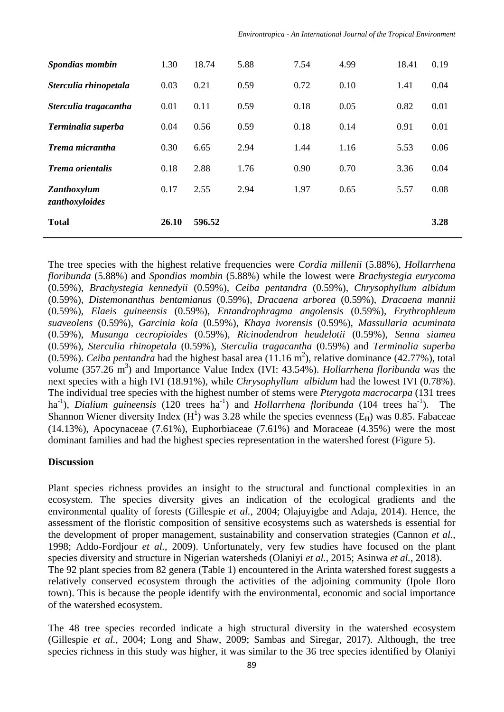| Spondias mombin               | 1.30  | 18.74  | 5.88 | 7.54 | 4.99 | 18.41 | 0.19 |
|-------------------------------|-------|--------|------|------|------|-------|------|
| Sterculia rhinopetala         | 0.03  | 0.21   | 0.59 | 0.72 | 0.10 | 1.41  | 0.04 |
| Sterculia tragacantha         | 0.01  | 0.11   | 0.59 | 0.18 | 0.05 | 0.82  | 0.01 |
| Terminalia superba            | 0.04  | 0.56   | 0.59 | 0.18 | 0.14 | 0.91  | 0.01 |
| Trema micrantha               | 0.30  | 6.65   | 2.94 | 1.44 | 1.16 | 5.53  | 0.06 |
| Trema orientalis              | 0.18  | 2.88   | 1.76 | 0.90 | 0.70 | 3.36  | 0.04 |
| Zanthoxylum<br>zanthoxyloides | 0.17  | 2.55   | 2.94 | 1.97 | 0.65 | 5.57  | 0.08 |
| <b>Total</b>                  | 26.10 | 596.52 |      |      |      |       | 3.28 |

The tree species with the highest relative frequencies were *Cordia millenii* (5.88%), *Hollarrhena floribunda* (5.88%) and *Spondias mombin* (5.88%) while the lowest were *Brachystegia eurycoma*  (0.59%), *Brachystegia kennedyii* (0.59%), *Ceiba pentandra* (0.59%), *Chrysophyllum albidum*  (0.59%), *Distemonanthus bentamianus* (0.59%), *Dracaena arborea* (0.59%), *Dracaena mannii*  (0.59%), *Elaeis guineensis* (0.59%), *Entandrophragma angolensis* (0.59%), *Erythrophleum suaveolens* (0.59%), *Garcinia kola* (0.59%), *Khaya ivorensis* (0.59%), *Massullaria acuminata*  (0.59%), *Musanga cecropioides* (0.59%), *Ricinodendron heudelotii* (0.59%), *Senna siamea*  (0.59%), *Sterculia rhinopetala* (0.59%), *Sterculia tragacantha* (0.59%) and *Terminalia superba*   $(0.59\%)$ . *Ceiba pentandra* had the highest basal area  $(11.16 \text{ m}^2)$ , relative dominance  $(42.77\%)$ , total volume (357.26 m<sup>3</sup>) and Importance Value Index (IVI: 43.54%). *Hollarrhena floribunda* was the next species with a high IVI (18.91%), while *Chrysophyllum albidum* had the lowest IVI (0.78%). The individual tree species with the highest number of stems were *Pterygota macrocarpa* (131 trees ha<sup>-1</sup>), *Dialium guineensis* (120 trees ha<sup>-1</sup>) and *Hollarrhena floribunda* (104 trees ha<sup>-1</sup>). The Shannon Wiener diversity Index  $(H<sup>1</sup>)$  was 3.28 while the species evenness  $(E<sub>H</sub>)$  was 0.85. Fabaceae (14.13%), Apocynaceae (7.61%), Euphorbiaceae (7.61%) and Moraceae (4.35%) were the most dominant families and had the highest species representation in the watershed forest (Figure 5).

# **Discussion**

Plant species richness provides an insight to the structural and functional complexities in an ecosystem. The species diversity gives an indication of the ecological gradients and the environmental quality of forests (Gillespie *et al.*, 2004; Olajuyigbe and Adaja, 2014). Hence, the assessment of the floristic composition of sensitive ecosystems such as watersheds is essential for the development of proper management, sustainability and conservation strategies (Cannon *et al.*, 1998; Addo-Fordjour *et al.*, 2009). Unfortunately, very few studies have focused on the plant species diversity and structure in Nigerian watersheds (Olaniyi *et al.*, 2015; Asinwa *et al.*, 2018). The 92 plant species from 82 genera (Table 1) encountered in the Arinta watershed forest suggests a relatively conserved ecosystem through the activities of the adjoining community (Ipole Iloro town). This is because the people identify with the environmental, economic and social importance of the watershed ecosystem.

The 48 tree species recorded indicate a high structural diversity in the watershed ecosystem (Gillespie *et al.*, 2004; Long and Shaw, 2009; Sambas and Siregar, 2017). Although, the tree species richness in this study was higher, it was similar to the 36 tree species identified by Olaniyi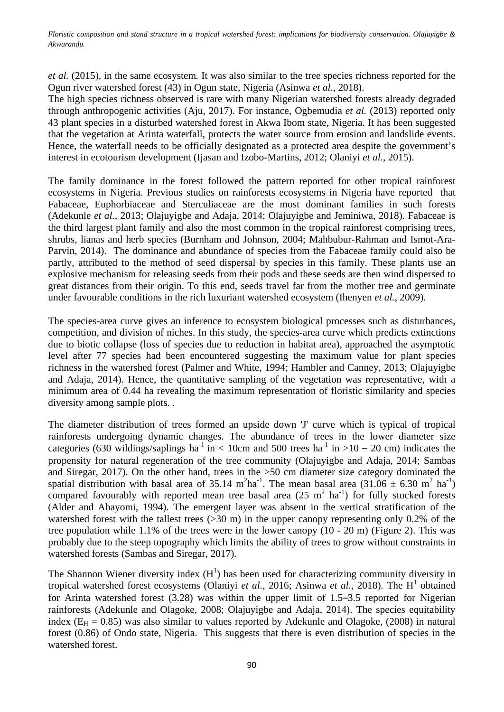*et al.* (2015)*,* in the same ecosystem*.* It was also similar to the tree species richness reported for the Ogun river watershed forest (43) in Ogun state, Nigeria (Asinwa *et al.*, 2018).

The high species richness observed is rare with many Nigerian watershed forests already degraded through anthropogenic activities (Aju, 2017). For instance, Ogbemudia *et al.* (2013) reported only 43 plant species in a disturbed watershed forest in Akwa Ibom state, Nigeria. It has been suggested that the vegetation at Arinta waterfall, protects the water source from erosion and landslide events. Hence, the waterfall needs to be officially designated as a protected area despite the government's interest in ecotourism development (Ijasan and Izobo-Martins, 2012; Olaniyi *et al.*, 2015).

The family dominance in the forest followed the pattern reported for other tropical rainforest ecosystems in Nigeria. Previous studies on rainforests ecosystems in Nigeria have reported that Fabaceae, Euphorbiaceae and Sterculiaceae are the most dominant families in such forests (Adekunle *et al.*, 2013; Olajuyigbe and Adaja, 2014; Olajuyigbe and Jeminiwa, 2018). Fabaceae is the third largest plant family and also the most common in the tropical rainforest comprising trees, shrubs, lianas and herb species (Burnham and Johnson, 2004; Mahbubur-Rahman and Ismot-Ara-Parvin, 2014). The dominance and abundance of species from the Fabaceae family could also be partly, attributed to the method of seed dispersal by species in this family. These plants use an explosive mechanism for releasing seeds from their pods and these seeds are then wind dispersed to great distances from their origin. To this end, seeds travel far from the mother tree and germinate under favourable conditions in the rich luxuriant watershed ecosystem (Ihenyen *et al.*, 2009).

The species-area curve gives an inference to ecosystem biological processes such as disturbances, competition, and division of niches. In this study, the species-area curve which predicts extinctions due to biotic collapse (loss of species due to reduction in habitat area), approached the asymptotic level after 77 species had been encountered suggesting the maximum value for plant species richness in the watershed forest (Palmer and White, 1994; Hambler and Canney, 2013; Olajuyigbe and Adaja, 2014). Hence, the quantitative sampling of the vegetation was representative, with a minimum area of 0.44 ha revealing the maximum representation of floristic similarity and species diversity among sample plots. .

The diameter distribution of trees formed an upside down 'J' curve which is typical of tropical rainforests undergoing dynamic changes. The abundance of trees in the lower diameter size categories (630 wildings/saplings ha<sup>-1</sup> in < 10cm and 500 trees ha<sup>-1</sup> in >10 – 20 cm) indicates the propensity for natural regeneration of the tree community (Olajuyigbe and Adaja, 2014; Sambas and Siregar, 2017). On the other hand, trees in the >50 cm diameter size category dominated the spatial distribution with basal area of 35.14 m<sup>2</sup>ha<sup>-1</sup>. The mean basal area (31.06  $\pm$  6.30 m<sup>2</sup> ha<sup>-1</sup>) compared favourably with reported mean tree basal area  $(25 \text{ m}^2 \text{ ha}^{-1})$  for fully stocked forests (Alder and Abayomi, 1994). The emergent layer was absent in the vertical stratification of the watershed forest with the tallest trees (>30 m) in the upper canopy representing only 0.2% of the tree population while 1.1% of the trees were in the lower canopy (10 - 20 m) (Figure 2). This was probably due to the steep topography which limits the ability of trees to grow without constraints in watershed forests (Sambas and Siregar, 2017).

The Shannon Wiener diversity index  $(H<sup>1</sup>)$  has been used for characterizing community diversity in tropical watershed forest ecosystems (Olaniyi *et al.*, 2016; Asinwa *et al.*, 2018). The H<sup>1</sup> obtained for Arinta watershed forest (3.28) was within the upper limit of 1.5–3.5 reported for Nigerian rainforests (Adekunle and Olagoke, 2008; Olajuyigbe and Adaja, 2014). The species equitability index ( $E_H = 0.85$ ) was also similar to values reported by Adekunle and Olagoke, (2008) in natural forest (0.86) of Ondo state, Nigeria. This suggests that there is even distribution of species in the watershed forest.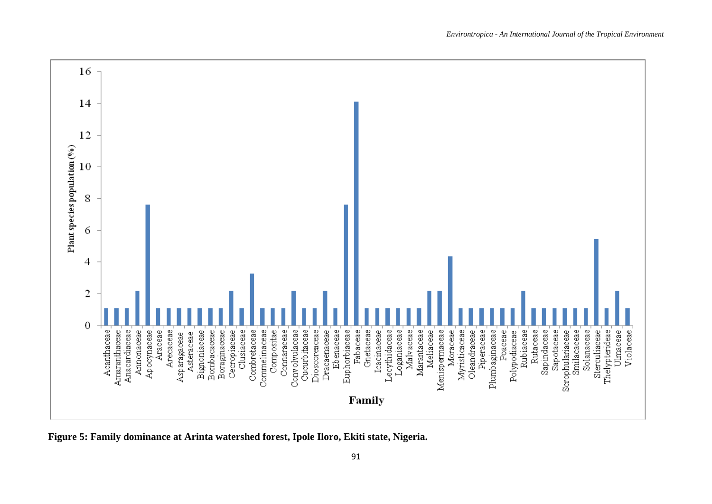

**Figure 5: Family dominance at Arinta watershed forest, Ipole Iloro, Ekiti state, Nigeria.**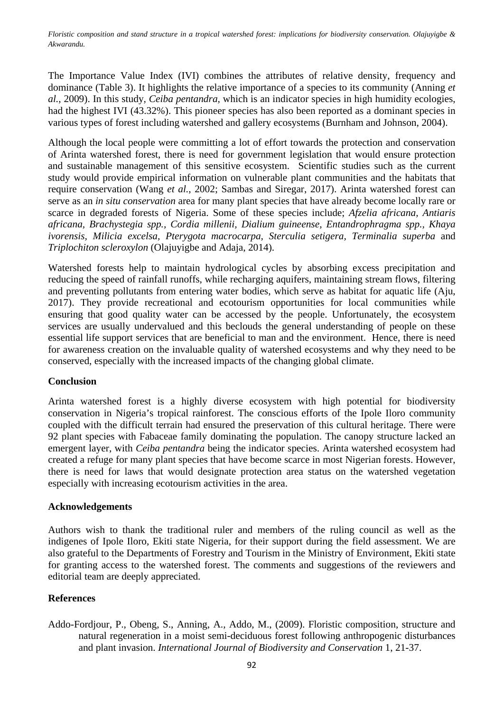The Importance Value Index (IVI) combines the attributes of relative density, frequency and dominance (Table 3). It highlights the relative importance of a species to its community (Anning *et al.*, 2009). In this study, *Ceiba pentandra,* which is an indicator species in high humidity ecologies, had the highest IVI (43.32%). This pioneer species has also been reported as a dominant species in various types of forest including watershed and gallery ecosystems (Burnham and Johnson, 2004).

Although the local people were committing a lot of effort towards the protection and conservation of Arinta watershed forest, there is need for government legislation that would ensure protection and sustainable management of this sensitive ecosystem. Scientific studies such as the current study would provide empirical information on vulnerable plant communities and the habitats that require conservation (Wang *et al.*, 2002; Sambas and Siregar, 2017). Arinta watershed forest can serve as an *in situ conservation* area for many plant species that have already become locally rare or scarce in degraded forests of Nigeria. Some of these species include; *Afzelia africana, Antiaris africana, Brachystegia spp., Cordia millenii, Dialium guineense, Entandrophragma spp., Khaya ivorensis, Milicia excelsa, Pterygota macrocarpa, Sterculia setigera, Terminalia superba* and *Triplochiton scleroxylon* (Olajuyigbe and Adaja, 2014).

Watershed forests help to maintain hydrological cycles by absorbing excess precipitation and reducing the speed of rainfall runoffs, while recharging aquifers, maintaining stream flows, filtering and preventing pollutants from entering water bodies, which serve as habitat for aquatic life (Aju, 2017). They provide recreational and ecotourism opportunities for local communities while ensuring that good quality water can be accessed by the people. Unfortunately, the ecosystem services are usually undervalued and this beclouds the general understanding of people on these essential life support services that are beneficial to man and the environment. Hence, there is need for awareness creation on the invaluable quality of watershed ecosystems and why they need to be conserved, especially with the increased impacts of the changing global climate.

# **Conclusion**

Arinta watershed forest is a highly diverse ecosystem with high potential for biodiversity conservation in Nigeria's tropical rainforest. The conscious efforts of the Ipole Iloro community coupled with the difficult terrain had ensured the preservation of this cultural heritage. There were 92 plant species with Fabaceae family dominating the population. The canopy structure lacked an emergent layer, with *Ceiba pentandra* being the indicator species. Arinta watershed ecosystem had created a refuge for many plant species that have become scarce in most Nigerian forests. However, there is need for laws that would designate protection area status on the watershed vegetation especially with increasing ecotourism activities in the area.

# **Acknowledgements**

Authors wish to thank the traditional ruler and members of the ruling council as well as the indigenes of Ipole Iloro, Ekiti state Nigeria, for their support during the field assessment. We are also grateful to the Departments of Forestry and Tourism in the Ministry of Environment, Ekiti state for granting access to the watershed forest. The comments and suggestions of the reviewers and editorial team are deeply appreciated.

# **References**

Addo-Fordjour, P., Obeng, S., Anning, A., Addo, M., (2009). Floristic composition, structure and natural regeneration in a moist semi-deciduous forest following anthropogenic disturbances and plant invasion. *International Journal of Biodiversity and Conservation* 1, 21-37.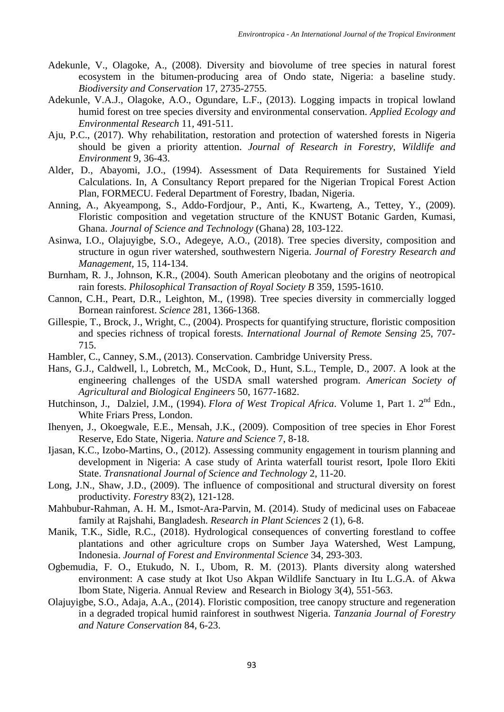- Adekunle, V., Olagoke, A., (2008). Diversity and biovolume of tree species in natural forest ecosystem in the bitumen-producing area of Ondo state, Nigeria: a baseline study. *Biodiversity and Conservation* 17, 2735-2755.
- Adekunle, V.A.J., Olagoke, A.O., Ogundare, L.F., (2013). Logging impacts in tropical lowland humid forest on tree species diversity and environmental conservation. *Applied Ecology and Environmental Research* 11, 491-511.
- Aju, P.C., (2017). Why rehabilitation, restoration and protection of watershed forests in Nigeria should be given a priority attention. *Journal of Research in Forestry, Wildlife and Environment* 9, 36-43.
- Alder, D., Abayomi, J.O., (1994). Assessment of Data Requirements for Sustained Yield Calculations. In, A Consultancy Report prepared for the Nigerian Tropical Forest Action Plan, FORMECU. Federal Department of Forestry, Ibadan, Nigeria.
- Anning, A., Akyeampong, S., Addo-Fordjour, P., Anti, K., Kwarteng, A., Tettey, Y., (2009). Floristic composition and vegetation structure of the KNUST Botanic Garden, Kumasi, Ghana. *Journal of Science and Technology* (Ghana) 28, 103-122.
- Asinwa, I.O., Olajuyigbe, S.O., Adegeye, A.O., (2018). Tree species diversity, composition and structure in ogun river watershed, southwestern Nigeria. *Journal of Forestry Research and Management,* 15, 114-134.
- Burnham, R. J., Johnson, K.R., (2004). South American pleobotany and the origins of neotropical rain forests. *Philosophical Transaction of Royal Society B* 359, 1595-1610.
- Cannon, C.H., Peart, D.R., Leighton, M., (1998). Tree species diversity in commercially logged Bornean rainforest. *Science* 281, 1366-1368.
- Gillespie, T., Brock, J., Wright, C., (2004). Prospects for quantifying structure, floristic composition and species richness of tropical forests. *International Journal of Remote Sensing* 25, 707- 715.
- Hambler, C., Canney, S.M., (2013). Conservation. Cambridge University Press.
- Hans, G.J., Caldwell, l., Lobretch, M., McCook, D., Hunt, S.L., Temple, D., 2007. A look at the engineering challenges of the USDA small watershed program. *American Society of Agricultural and Biological Engineers* 50, 1677-1682.
- Hutchinson, J., Dalziel, J.M., (1994). *Flora of West Tropical Africa*. Volume 1, Part 1. 2<sup>nd</sup> Edn., White Friars Press, London.
- Ihenyen, J., Okoegwale, E.E., Mensah, J.K., (2009). Composition of tree species in Ehor Forest Reserve, Edo State, Nigeria. *Nature and Science* 7, 8-18.
- Ijasan, K.C., Izobo-Martins, O., (2012). Assessing community engagement in tourism planning and development in Nigeria: A case study of Arinta waterfall tourist resort, Ipole Iloro Ekiti State. *Transnational Journal of Science and Technology* 2, 11-20.
- Long, J.N., Shaw, J.D., (2009). The influence of compositional and structural diversity on forest productivity. *Forestry* 83(2), 121-128.
- Mahbubur-Rahman, A. H. M., Ismot-Ara-Parvin, M. (2014). Study of medicinal uses on Fabaceae family at Rajshahi, Bangladesh. *Research in Plant Sciences* 2 (1), 6-8.
- Manik, T.K., Sidle, R.C., (2018). Hydrological consequences of converting forestland to coffee plantations and other agriculture crops on Sumber Jaya Watershed, West Lampung, Indonesia. *Journal of Forest and Environmental Science* 34, 293-303.
- Ogbemudia, F. O., Etukudo, N. I., Ubom, R. M. (2013). Plants diversity along watershed environment: A case study at Ikot Uso Akpan Wildlife Sanctuary in Itu L.G.A. of Akwa Ibom State, Nigeria. Annual Review and Research in Biology 3(4), 551-563.
- Olajuyigbe, S.O., Adaja, A.A., (2014). Floristic composition, tree canopy structure and regeneration in a degraded tropical humid rainforest in southwest Nigeria. *Tanzania Journal of Forestry and Nature Conservation* 84, 6-23.